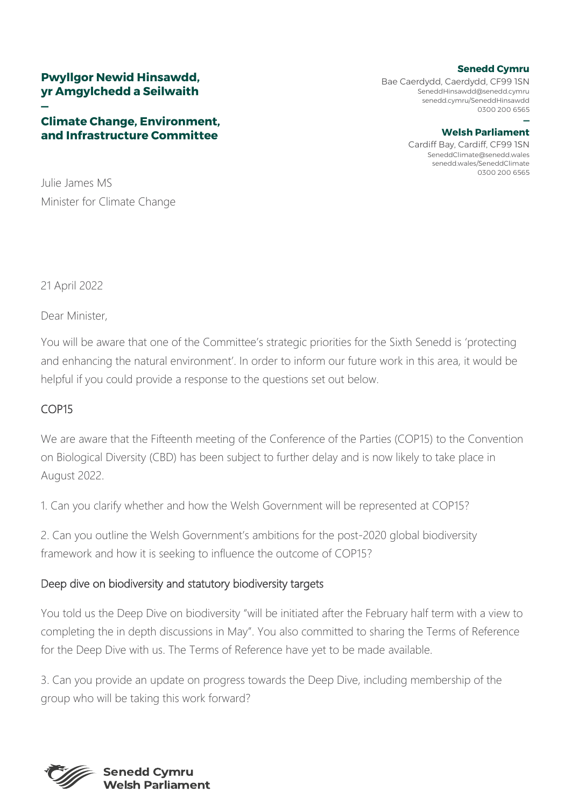## **Pwyllgor Newid Hinsawdd, yr Amgylchedd a Seilwaith**

#### **— Climate Change, Environment, and Infrastructure Committee**

#### **Senedd Cymru**

Bae Caerdydd, Caerdydd, CF99 1SN [SeneddHinsawdd@senedd.cymru](mailto:SeneddHinsawdd@senedd.cymru) senedd.cymru/SeneddHinsawdd 0300 200 6565

#### **— Welsh Parliament**

Cardiff Bay, Cardiff, CF99 1SN [SeneddClimate@senedd.wales](mailto:SeneddClimate@senedd.wales) senedd.wales/SeneddClimate 0300 200 6565

Julie James MS Minister for Climate Change

21 April 2022

Dear Minister,

You will be aware that one of the Committee's strategic priorities for the Sixth Senedd is 'protecting and enhancing the natural environment'. In order to inform our future work in this area, it would be helpful if you could provide a response to the questions set out below.

# COP15

We are aware that the Fifteenth meeting of the Conference of the Parties (COP15) to the Convention on Biological Diversity (CBD) has been subject to further delay and is now likely to take place in August 2022.

1. Can you clarify whether and how the Welsh Government will be represented at COP15?

2. Can you outline the Welsh Government's ambitions for the post-2020 global biodiversity framework and how it is seeking to influence the outcome of COP15?

# Deep dive on biodiversity and statutory biodiversity targets

You told us the Deep Dive on biodiversity "will be initiated after the February half term with a view to completing the in depth discussions in May". You also committed to sharing the Terms of Reference for the Deep Dive with us. The Terms of Reference have yet to be made available.

3. Can you provide an update on progress towards the Deep Dive, including membership of the group who will be taking this work forward?